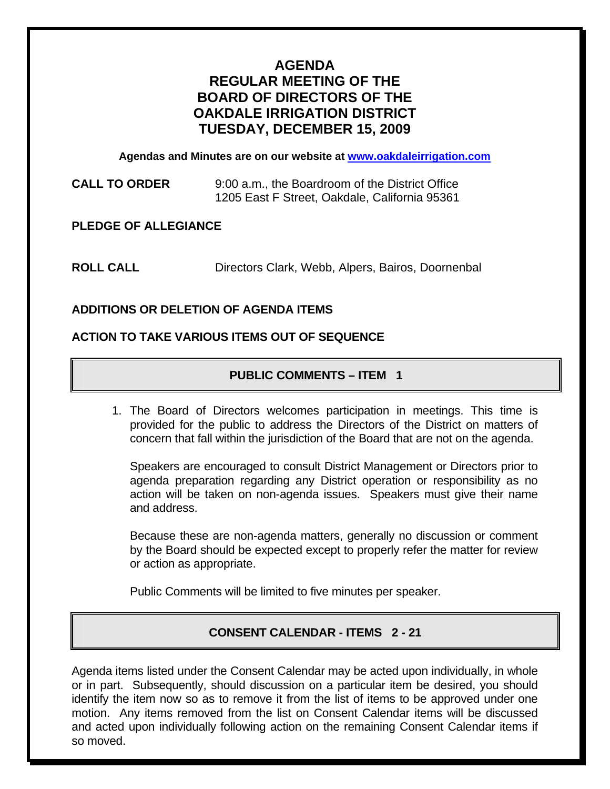# **AGENDA REGULAR MEETING OF THE BOARD OF DIRECTORS OF THE OAKDALE IRRIGATION DISTRICT TUESDAY, DECEMBER 15, 2009**

**Agendas and Minutes are on our website at [www.oakdaleirrigation.com](http://www.oakdaleirrigation.com/)**

**CALL TO ORDER** 9:00 a.m., the Boardroom of the District Office 1205 East F Street, Oakdale, California 95361

**PLEDGE OF ALLEGIANCE** 

**ROLL CALL** Directors Clark, Webb, Alpers, Bairos, Doornenbal

## **ADDITIONS OR DELETION OF AGENDA ITEMS**

### **ACTION TO TAKE VARIOUS ITEMS OUT OF SEQUENCE**

## **PUBLIC COMMENTS – ITEM 1**

1. The Board of Directors welcomes participation in meetings. This time is provided for the public to address the Directors of the District on matters of concern that fall within the jurisdiction of the Board that are not on the agenda.

Speakers are encouraged to consult District Management or Directors prior to agenda preparation regarding any District operation or responsibility as no action will be taken on non-agenda issues. Speakers must give their name and address.

Because these are non-agenda matters, generally no discussion or comment by the Board should be expected except to properly refer the matter for review or action as appropriate.

Public Comments will be limited to five minutes per speaker.

# **CONSENT CALENDAR - ITEMS 2 - 21**

Agenda items listed under the Consent Calendar may be acted upon individually, in whole or in part. Subsequently, should discussion on a particular item be desired, you should identify the item now so as to remove it from the list of items to be approved under one motion. Any items removed from the list on Consent Calendar items will be discussed and acted upon individually following action on the remaining Consent Calendar items if so moved.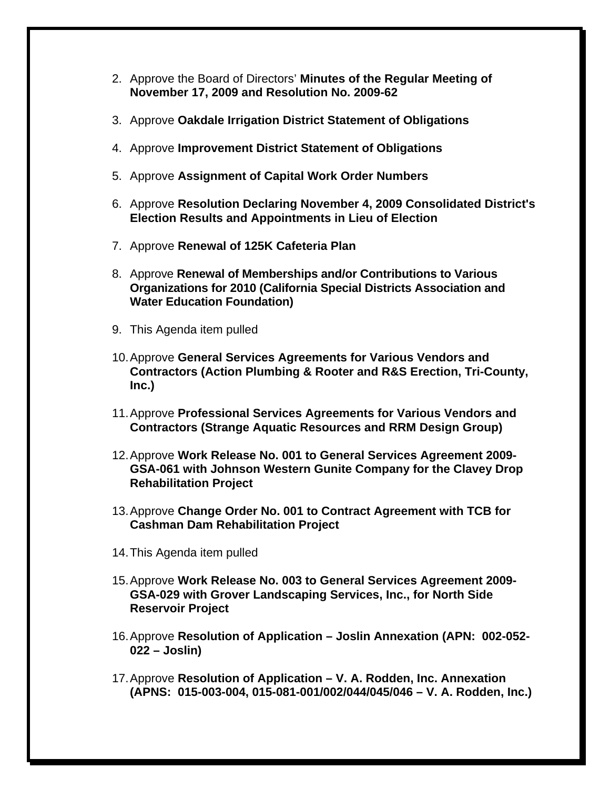- 2. Approve the Board of Directors' **Minutes of the Regular Meeting of November 17, 2009 and Resolution No. 2009-62**
- 3. Approve **Oakdale Irrigation District Statement of Obligations**
- 4. Approve **Improvement District Statement of Obligations**
- 5. Approve **Assignment of Capital Work Order Numbers**
- 6. Approve **Resolution Declaring November 4, 2009 Consolidated District's Election Results and Appointments in Lieu of Election**
- 7. Approve **Renewal of 125K Cafeteria Plan**
- 8. Approve **Renewal of Memberships and/or Contributions to Various Organizations for 2010 (California Special Districts Association and Water Education Foundation)**
- 9. This Agenda item pulled
- 10. Approve **General Services Agreements for Various Vendors and Contractors (Action Plumbing & Rooter and R&S Erection, Tri-County, Inc.)**
- 11. Approve **Professional Services Agreements for Various Vendors and Contractors (Strange Aquatic Resources and RRM Design Group)**
- 12. Approve **Work Release No. 001 to General Services Agreement 2009- GSA-061 with Johnson Western Gunite Company for the Clavey Drop Rehabilitation Project**
- 13. Approve **Change Order No. 001 to Contract Agreement with TCB for Cashman Dam Rehabilitation Project**
- 14. This Agenda item pulled
- 15. Approve **Work Release No. 003 to General Services Agreement 2009- GSA-029 with Grover Landscaping Services, Inc., for North Side Reservoir Project**
- 16. Approve **Resolution of Application Joslin Annexation (APN: 002-052- 022 – Joslin)**
- 17. Approve **Resolution of Application V. A. Rodden, Inc. Annexation (APNS: 015-003-004, 015-081-001/002/044/045/046 – V. A. Rodden, Inc.)**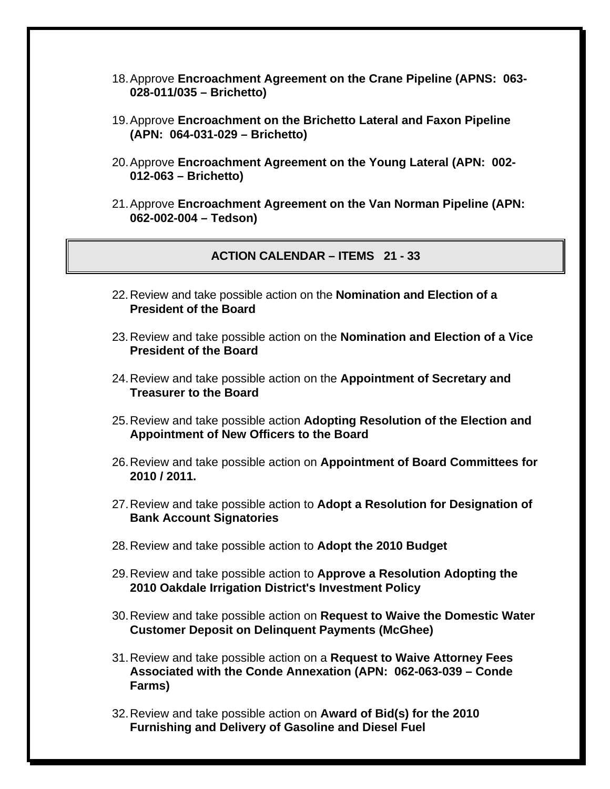- 18. Approve **Encroachment Agreement on the Crane Pipeline (APNS: 063- 028-011/035 – Brichetto)**
- 19. Approve **Encroachment on the Brichetto Lateral and Faxon Pipeline (APN: 064-031-029 – Brichetto)**
- 20. Approve **Encroachment Agreement on the Young Lateral (APN: 002- 012-063 – Brichetto)**
- 21. Approve **Encroachment Agreement on the Van Norman Pipeline (APN: 062-002-004 – Tedson)**

**ACTION CALENDAR – ITEMS 21 - 33** 

- 22. Review and take possible action on the **Nomination and Election of a President of the Board**
- 23. Review and take possible action on the **Nomination and Election of a Vice President of the Board**
- 24. Review and take possible action on the **Appointment of Secretary and Treasurer to the Board**
- 25. Review and take possible action **Adopting Resolution of the Election and Appointment of New Officers to the Board**
- 26. Review and take possible action on **Appointment of Board Committees for 2010 / 2011.**
- 27. Review and take possible action to **Adopt a Resolution for Designation of Bank Account Signatories**
- 28. Review and take possible action to **Adopt the 2010 Budget**
- 29. Review and take possible action to **Approve a Resolution Adopting the 2010 Oakdale Irrigation District's Investment Policy**
- 30. Review and take possible action on **Request to Waive the Domestic Water Customer Deposit on Delinquent Payments (McGhee)**
- 31. Review and take possible action on a **Request to Waive Attorney Fees Associated with the Conde Annexation (APN: 062-063-039 – Conde Farms)**
- 32. Review and take possible action on **Award of Bid(s) for the 2010 Furnishing and Delivery of Gasoline and Diesel Fuel**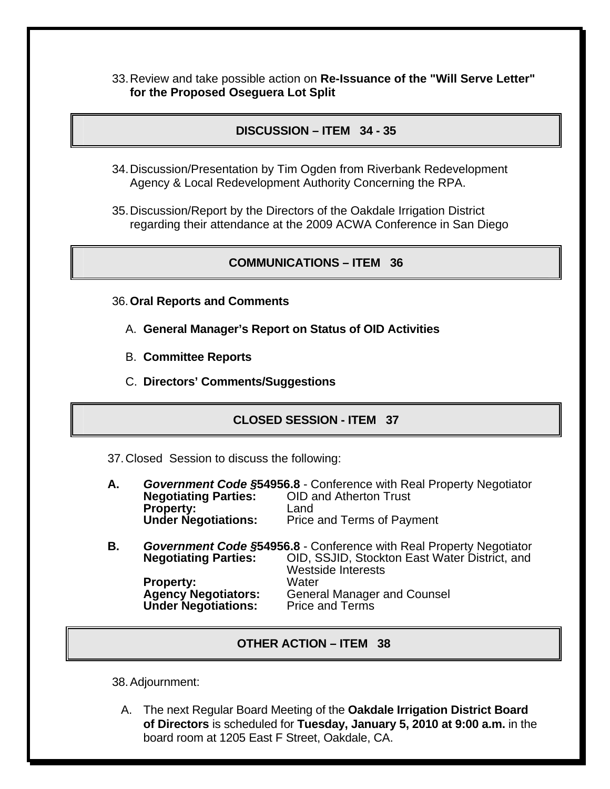33. Review and take possible action on **Re-Issuance of the "Will Serve Letter" for the Proposed Oseguera Lot Split**

### **DISCUSSION – ITEM 34 - 35**

- 34. Discussion/Presentation by Tim Ogden from Riverbank Redevelopment Agency & Local Redevelopment Authority Concerning the RPA.
- 35. Discussion/Report by the Directors of the Oakdale Irrigation District regarding their attendance at the 2009 ACWA Conference in San Diego

#### **COMMUNICATIONS – ITEM 36**

- 36.**Oral Reports and Comments**
	- A. **General Manager's Report on Status of OID Activities**
	- B. **Committee Reports**
	- C. **Directors' Comments/Suggestions**

#### **CLOSED SESSION - ITEM 37**

37. Closed Session to discuss the following:

- **A.** *Government Code §***54956.8** Conference with Real Property Negotiator **Negotiating Parties:** OID and Atherton Trust **Property:** Land<br> **Under Negotiations:** Price Price and Terms of Payment
- **B.** *Government Code §***54956.8** Conference with Real Property Negotiator **Negotiating Parties:** OID, SSJID, Stockton East Water District, and Westside Interests<br>Water **Property:<br>Agency Negotiators:** General Manager and Counsel<br>Price and Terms **Under Negotiations:**

#### **OTHER ACTION – ITEM 38**

38. Adjournment:

A. The next Regular Board Meeting of the **Oakdale Irrigation District Board of Directors** is scheduled for **Tuesday, January 5, 2010 at 9:00 a.m.** in the board room at 1205 East F Street, Oakdale, CA.